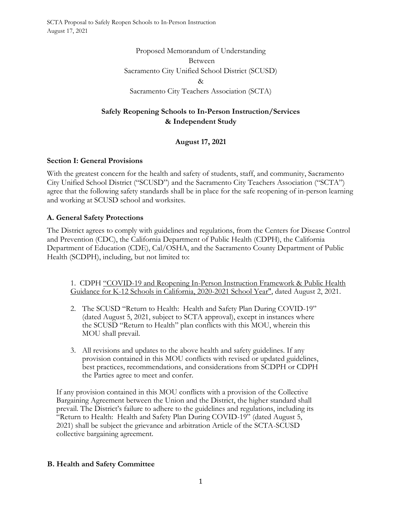> Proposed Memorandum of Understanding Between Sacramento City Unified School District (SCUSD) & Sacramento City Teachers Association (SCTA)

# **Safely Reopening Schools to In-Person Instruction/Services & Independent Study**

# **August 17, 2021**

#### **Section I: General Provisions**

With the greatest concern for the health and safety of students, staff, and community, Sacramento City Unified School District ("SCUSD") and the Sacramento City Teachers Association ("SCTA") agree that the following safety standards shall be in place for the safe reopening of in-person learning and working at SCUSD school and worksites.

#### **A. General Safety Protections**

The District agrees to comply with guidelines and regulations, from the Centers for Disease Control and Prevention (CDC), the California Department of Public Health (CDPH), the California Department of Education (CDE), Cal/OSHA, and the Sacramento County Department of Public Health (SCDPH), including, but not limited to:

1. CDPH "COVID-19 and Reopening In-Person Instruction Framework & Public Health Guidance for K-12 Schools in California, 2020-2021 School Year", dated August 2, 2021.

- 2. The SCUSD "Return to Health: Health and Safety Plan During COVID-19" (dated August 5, 2021, subject to SCTA approval), except in instances where the SCUSD "Return to Health" plan conflicts with this MOU, wherein this MOU shall prevail.
- 3. All revisions and updates to the above health and safety guidelines. If any provision contained in this MOU conflicts with revised or updated guidelines, best practices, recommendations, and considerations from SCDPH or CDPH the Parties agree to meet and confer.

If any provision contained in this MOU conflicts with a provision of the Collective Bargaining Agreement between the Union and the District, the higher standard shall prevail. The District's failure to adhere to the guidelines and regulations, including its "Return to Health: Health and Safety Plan During COVID-19" (dated August 5, 2021) shall be subject the grievance and arbitration Article of the SCTA-SCUSD collective bargaining agreement.

#### **B. Health and Safety Committee**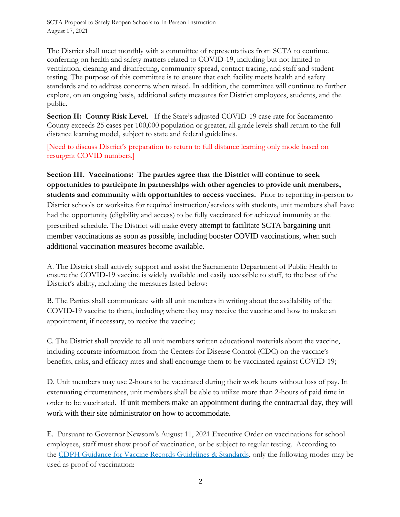The District shall meet monthly with a committee of representatives from SCTA to continue conferring on health and safety matters related to COVID-19, including but not limited to ventilation, cleaning and disinfecting, community spread, contact tracing, and staff and student testing. The purpose of this committee is to ensure that each facility meets health and safety standards and to address concerns when raised. In addition, the committee will continue to further explore, on an ongoing basis, additional safety measures for District employees, students, and the public.

**Section II: County Risk Level.** If the State's adjusted COVID-19 case rate for Sacramento County exceeds 25 cases per 100,000 population or greater, all grade levels shall return to the full distance learning model, subject to state and federal guidelines.

[Need to discuss District's preparation to return to full distance learning only mode based on resurgent COVID numbers.]

**Section III. Vaccinations: The parties agree that the District will continue to seek opportunities to participate in partnerships with other agencies to provide unit members, students and community with opportunities to access vaccines.** Prior to reporting in-person to District schools or worksites for required instruction/services with students, unit members shall have had the opportunity (eligibility and access) to be fully vaccinated for achieved immunity at the prescribed schedule. The District will make every attempt to facilitate SCTA bargaining unit member vaccinations as soon as possible, including booster COVID vaccinations, when such additional vaccination measures become available.

A. The District shall actively support and assist the Sacramento Department of Public Health to ensure the COVID-19 vaccine is widely available and easily accessible to staff, to the best of the District's ability, including the measures listed below:

B. The Parties shall communicate with all unit members in writing about the availability of the COVID-19 vaccine to them, including where they may receive the vaccine and how to make an appointment, if necessary, to receive the vaccine;

C. The District shall provide to all unit members written educational materials about the vaccine, including accurate information from the Centers for Disease Control (CDC) on the vaccine's benefits, risks, and efficacy rates and shall encourage them to be vaccinated against COVID-19;

D. Unit members may use 2-hours to be vaccinated during their work hours without loss of pay. In extenuating circumstances, unit members shall be able to utilize more than 2-hours of paid time in order to be vaccinated. If unit members make an appointment during the contractual day, they will work with their site administrator on how to accommodate.

E. Pursuant to Governor Newsom's August 11, 2021 Executive Order on vaccinations for school employees, staff must show proof of vaccination, or be subject to regular testing. According to the [CDPH Guidance for Vaccine Records Guidelines & Standards,](https://www.cdph.ca.gov/Programs/CID/DCDC/Pages/COVID-19/Vaccine-Record-Guidelines-Standards.aspx) only the following modes may be used as proof of vaccination: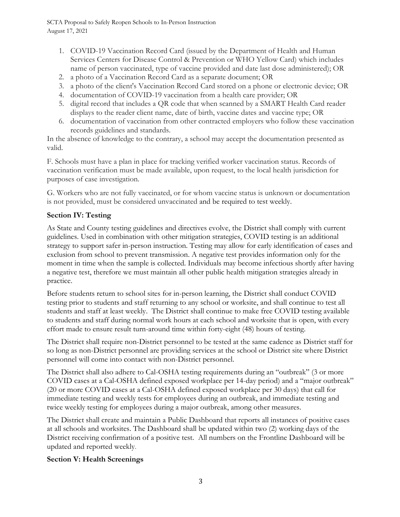- 1. COVID-19 Vaccination Record Card (issued by the Department of Health and Human Services Centers for Disease Control & Prevention or WHO Yellow Card) which includes name of person vaccinated, type of vaccine provided and date last dose administered); OR
- 2. a photo of a Vaccination Record Card as a separate document; OR
- 3. a photo of the client's Vaccination Record Card stored on a phone or electronic device; OR
- 4. documentation of COVID-19 vaccination from a health care provider; OR
- 5. digital record that includes a QR code that when scanned by a SMART Health Card reader displays to the reader client name, date of birth, vaccine dates and vaccine type; OR
- 6. documentation of vaccination from other contracted employers who follow these vaccination records guidelines and standards.

In the absence of knowledge to the contrary, a school may accept the documentation presented as valid.

F. Schools must have a plan in place for tracking verified worker vaccination status. Records of vaccination verification must be made available, upon request, to the local health jurisdiction for purposes of case investigation.

G. Workers who are not fully vaccinated, or for whom vaccine status is unknown or documentation is not provided, must be considered unvaccinated and be required to test weekly.

## **Section IV: Testing**

As State and County testing guidelines and directives evolve, the District shall comply with current guidelines. Used in combination with other mitigation strategies, COVID testing is an additional strategy to support safer in-person instruction. Testing may allow for early identification of cases and exclusion from school to prevent transmission. A negative test provides information only for the moment in time when the sample is collected. Individuals may become infectious shortly after having a negative test, therefore we must maintain all other public health mitigation strategies already in practice.

Before students return to school sites for in-person learning, the District shall conduct COVID testing prior to students and staff returning to any school or worksite, and shall continue to test all students and staff at least weekly. The District shall continue to make free COVID testing available to students and staff during normal work hours at each school and worksite that is open, with every effort made to ensure result turn-around time within forty-eight (48) hours of testing.

The District shall require non-District personnel to be tested at the same cadence as District staff for so long as non-District personnel are providing services at the school or District site where District personnel will come into contact with non-District personnel.

The District shall also adhere to Cal-OSHA testing requirements during an "outbreak" (3 or more COVID cases at a Cal-OSHA defined exposed workplace per 14-day period) and a "major outbreak" (20 or more COVID cases at a Cal-OSHA defined exposed workplace per 30 days) that call for immediate testing and weekly tests for employees during an outbreak, and immediate testing and twice weekly testing for employees during a major outbreak, among other measures.

The District shall create and maintain a Public Dashboard that reports all instances of positive cases at all schools and worksites. The Dashboard shall be updated within two (2) working days of the District receiving confirmation of a positive test. All numbers on the Frontline Dashboard will be updated and reported weekly.

## **Section V: Health Screenings**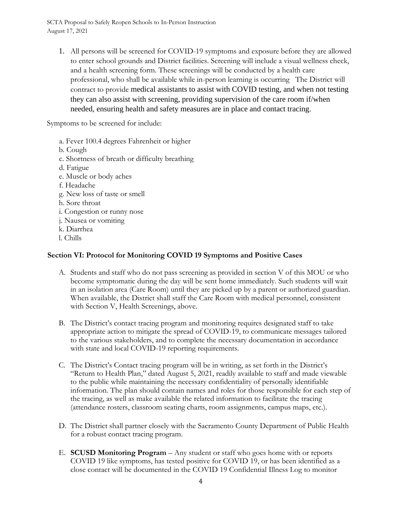1. All persons will be screened for COVID-19 symptoms and exposure before they are allowed to enter school grounds and District facilities. Screening will include a visual wellness check, and a health screening form. These screenings will be conducted by a health care professional, who shall be available while in-person learning is occurring The District will contract to provide medical assistants to assist with COVID testing, and when not testing they can also assist with screening, providing supervision of the care room if/when needed, ensuring health and safety measures are in place and contact tracing.

Symptoms to be screened for include:

a. Fever 100.4 degrees Fahrenheit or higher b. Cough c. Shortness of breath or difficulty breathing d. Fatigue e. Muscle or body aches f. Headache g. New loss of taste or smell h. Sore throat i. Congestion or runny nose j. Nausea or vomiting k. Diarrhea l. Chills

#### **Section VI: Protocol for Monitoring COVID 19 Symptoms and Positive Cases**

- A. Students and staff who do not pass screening as provided in section V of this MOU or who become symptomatic during the day will be sent home immediately. Such students will wait in an isolation area (Care Room) until they are picked up by a parent or authorized guardian. When available, the District shall staff the Care Room with medical personnel, consistent with Section V, Health Screenings, above.
- B. The District's contact tracing program and monitoring requires designated staff to take appropriate action to mitigate the spread of COVID-19, to communicate messages tailored to the various stakeholders, and to complete the necessary documentation in accordance with state and local COVID-19 reporting requirements.
- C. The District's Contact tracing program will be in writing, as set forth in the District's "Return to Health Plan," dated August 5, 2021, readily available to staff and made viewable to the public while maintaining the necessary confidentiality of personally identifiable information. The plan should contain names and roles for those responsible for each step of the tracing, as well as make available the related information to facilitate the tracing (attendance rosters, classroom seating charts, room assignments, campus maps, etc.).
- D. The District shall partner closely with the Sacramento County Department of Public Health for a robust contact tracing program.
- E. **SCUSD Monitoring Program** Any student or staff who goes home with or reports COVID 19 like symptoms, has tested positive for COVID 19, or has been identified as a close contact will be documented in the COVID 19 Confidential Illness Log to monitor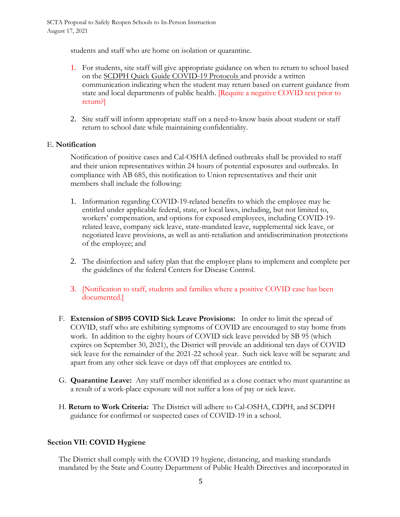students and staff who are home on isolation or quarantine.

- 1. For students, site staff will give appropriate guidance on when to return to school based on the SCDPH Quick Guide COVID-19 Protocols and provide a written communication indicating when the student may return based on current guidance from state and local departments of public health. [Require a negative COVID test prior to return?]
- 2. Site staff will inform appropriate staff on a need-to-know basis about student or staff return to school date while maintaining confidentiality.

#### E. **Notification**

Notification of positive cases and Cal-OSHA defined outbreaks shall be provided to staff and their union representatives within 24 hours of potential exposures and outbreaks. In compliance with AB 685, this notification to Union representatives and their unit members shall include the following:

- 1. Information regarding COVID-19-related benefits to which the employee may be entitled under applicable federal, state, or local laws, including, but not limited to, workers' compensation, and options for exposed employees, including COVID-19 related leave, company sick leave, state-mandated leave, supplemental sick leave, or negotiated leave provisions, as well as anti-retaliation and antidiscrimination protections of the employee; and
- 2. The disinfection and safety plan that the employer plans to implement and complete per the guidelines of the federal Centers for Disease Control.
- 3. [Notification to staff, students and families where a positive COVID case has been documented.]
- F. **Extension of SB95 COVID Sick Leave Provisions:** In order to limit the spread of COVID, staff who are exhibiting symptoms of COVID are encouraged to stay home from work. In addition to the eighty hours of COVID sick leave provided by SB 95 (which expires on September 30, 2021), the District will provide an additional ten days of COVID sick leave for the remainder of the 2021-22 school year. Such sick leave will be separate and apart from any other sick leave or days off that employees are entitled to.
- G. **Quarantine Leave:** Any staff member identified as a close contact who must quarantine as a result of a work-place exposure will not suffer a loss of pay or sick leave.
- H. **Return to Work Criteria:** The District will adhere to Cal-OSHA, CDPH, and SCDPH guidance for confirmed or suspected cases of COVID-19 in a school.

## **Section VII: COVID Hygiene**

The District shall comply with the COVID 19 hygiene, distancing, and masking standards mandated by the State and County Department of Public Health Directives and incorporated in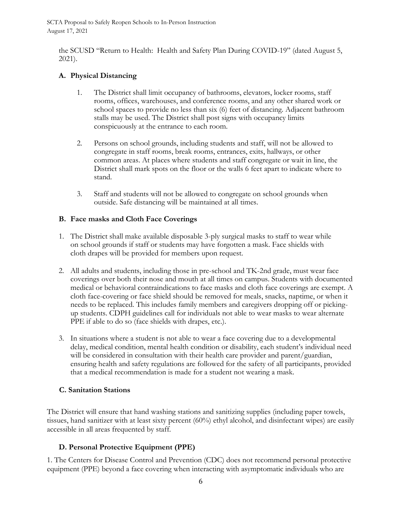the SCUSD "Return to Health: Health and Safety Plan During COVID-19" (dated August 5, 2021).

#### **A. Physical Distancing**

- 1. The District shall limit occupancy of bathrooms, elevators, locker rooms, staff rooms, offices, warehouses, and conference rooms, and any other shared work or school spaces to provide no less than six (6) feet of distancing. Adjacent bathroom stalls may be used. The District shall post signs with occupancy limits conspicuously at the entrance to each room.
- 2. Persons on school grounds, including students and staff, will not be allowed to congregate in staff rooms, break rooms, entrances, exits, hallways, or other common areas. At places where students and staff congregate or wait in line, the District shall mark spots on the floor or the walls 6 feet apart to indicate where to stand.
- 3. Staff and students will not be allowed to congregate on school grounds when outside. Safe distancing will be maintained at all times.

#### **B. Face masks and Cloth Face Coverings**

- 1. The District shall make available disposable 3-ply surgical masks to staff to wear while on school grounds if staff or students may have forgotten a mask. Face shields with cloth drapes will be provided for members upon request.
- 2. All adults and students, including those in pre-school and TK-2nd grade, must wear face coverings over both their nose and mouth at all times on campus. Students with documented medical or behavioral contraindications to face masks and cloth face coverings are exempt. A cloth face-covering or face shield should be removed for meals, snacks, naptime, or when it needs to be replaced. This includes family members and caregivers dropping off or pickingup students. CDPH guidelines call for individuals not able to wear masks to wear alternate PPE if able to do so (face shields with drapes, etc.).
- 3. In situations where a student is not able to wear a face covering due to a developmental delay, medical condition, mental health condition or disability, each student's individual need will be considered in consultation with their health care provider and parent/guardian, ensuring health and safety regulations are followed for the safety of all participants, provided that a medical recommendation is made for a student not wearing a mask.

## **C. Sanitation Stations**

The District will ensure that hand washing stations and sanitizing supplies (including paper towels, tissues, hand sanitizer with at least sixty percent (60%) ethyl alcohol, and disinfectant wipes) are easily accessible in all areas frequented by staff.

## **D. Personal Protective Equipment (PPE)**

1. The Centers for Disease Control and Prevention (CDC) does not recommend personal protective equipment (PPE) beyond a face covering when interacting with asymptomatic individuals who are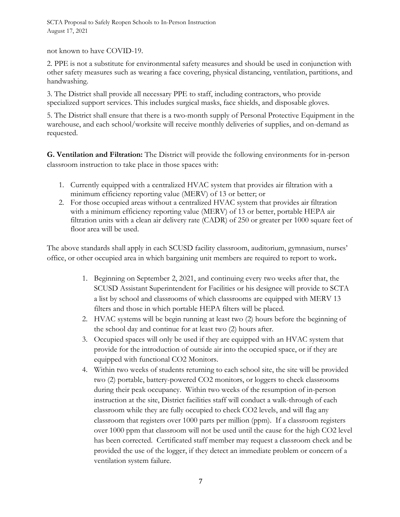not known to have COVID-19.

2. PPE is not a substitute for environmental safety measures and should be used in conjunction with other safety measures such as wearing a face covering, physical distancing, ventilation, partitions, and handwashing.

3. The District shall provide all necessary PPE to staff, including contractors, who provide specialized support services. This includes surgical masks, face shields, and disposable gloves.

5. The District shall ensure that there is a two-month supply of Personal Protective Equipment in the warehouse, and each school/worksite will receive monthly deliveries of supplies, and on-demand as requested.

**G. Ventilation and Filtration:** The District will provide the following environments for in-person classroom instruction to take place in those spaces with:

- 1. Currently equipped with a centralized HVAC system that provides air filtration with a minimum efficiency reporting value (MERV) of 13 or better; or
- 2. For those occupied areas without a centralized HVAC system that provides air filtration with a minimum efficiency reporting value (MERV) of 13 or better, portable HEPA air filtration units with a clean air delivery rate (CADR) of 250 or greater per 1000 square feet of floor area will be used.

The above standards shall apply in each SCUSD facility classroom, auditorium, gymnasium, nurses' office, or other occupied area in which bargaining unit members are required to report to work**.**

- 1. Beginning on September 2, 2021, and continuing every two weeks after that, the SCUSD Assistant Superintendent for Facilities or his designee will provide to SCTA a list by school and classrooms of which classrooms are equipped with MERV 13 filters and those in which portable HEPA filters will be placed.
- 2. HVAC systems will be begin running at least two (2) hours before the beginning of the school day and continue for at least two (2) hours after.
- 3. Occupied spaces will only be used if they are equipped with an HVAC system that provide for the introduction of outside air into the occupied space, or if they are equipped with functional CO2 Monitors.
- 4. Within two weeks of students returning to each school site, the site will be provided two (2) portable, battery-powered CO2 monitors, or loggers to check classrooms during their peak occupancy. Within two weeks of the resumption of in-person instruction at the site, District facilities staff will conduct a walk-through of each classroom while they are fully occupied to check CO2 levels, and will flag any classroom that registers over 1000 parts per million (ppm). If a classroom registers over 1000 ppm that classroom will not be used until the cause for the high CO2 level has been corrected. Certificated staff member may request a classroom check and be provided the use of the logger, if they detect an immediate problem or concern of a ventilation system failure.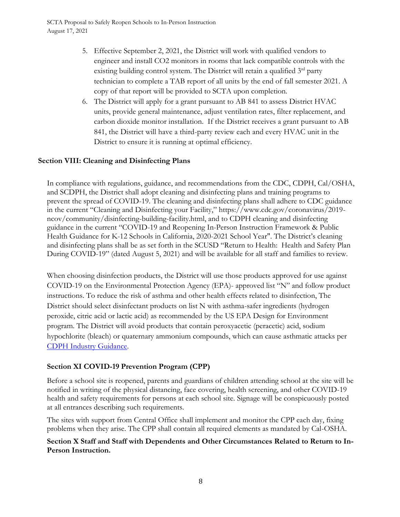- 5. Effective September 2, 2021, the District will work with qualified vendors to engineer and install CO2 monitors in rooms that lack compatible controls with the existing building control system. The District will retain a qualified  $3<sup>rd</sup>$  party technician to complete a TAB report of all units by the end of fall semester 2021. A copy of that report will be provided to SCTA upon completion.
- 6. The District will apply for a grant pursuant to AB 841 to assess District HVAC units, provide general maintenance, adjust ventilation rates, filter replacement, and carbon dioxide monitor installation. If the District receives a grant pursuant to AB 841, the District will have a third-party review each and every HVAC unit in the District to ensure it is running at optimal efficiency.

## **Section VIII: Cleaning and Disinfecting Plans**

In compliance with regulations, guidance, and recommendations from the CDC, CDPH, Cal/OSHA, and SCDPH, the District shall adopt cleaning and disinfecting plans and training programs to prevent the spread of COVID-19. The cleaning and disinfecting plans shall adhere to CDC guidance in the current "Cleaning and Disinfecting your Facility," https://www.cdc.gov/coronavirus/2019 ncov/community/disinfecting-building-facility.html, and to CDPH cleaning and disinfecting guidance in the current "COVID-19 and Reopening In-Person Instruction Framework & Public Health Guidance for K-12 Schools in California, 2020-2021 School Year". The District's cleaning and disinfecting plans shall be as set forth in the SCUSD "Return to Health: Health and Safety Plan During COVID-19" (dated August 5, 2021) and will be available for all staff and families to review.

When choosing disinfection products, the District will use those products approved for use against COVID-19 on the Environmental Protection Agency (EPA)- approved list "N" and follow product instructions. To reduce the risk of asthma and other health effects related to disinfection, The District should select disinfectant products on list N with asthma-safer ingredients (hydrogen peroxide, citric acid or lactic acid) as recommended by the US EPA Design for Environment program. The District will avoid products that contain peroxyacetic (peracetic) acid, sodium hypochlorite (bleach) or quaternary ammonium compounds, which can cause asthmatic attacks per [CDPH Industry Guidance.](https://www.cdph.ca.gov/Programs/CID/DCDC/CDPH%20Document%20Library/COVID-19/Consolidated_Schools_Guidance.pdf)

# **Section XI COVID-19 Prevention Program (CPP)**

Before a school site is reopened, parents and guardians of children attending school at the site will be notified in writing of the physical distancing, face covering, health screening, and other COVID-19 health and safety requirements for persons at each school site. Signage will be conspicuously posted at all entrances describing such requirements.

The sites with support from Central Office shall implement and monitor the CPP each day, fixing problems when they arise. The CPP shall contain all required elements as mandated by Cal-OSHA.

#### **Section X Staff and Staff with Dependents and Other Circumstances Related to Return to In-Person Instruction.**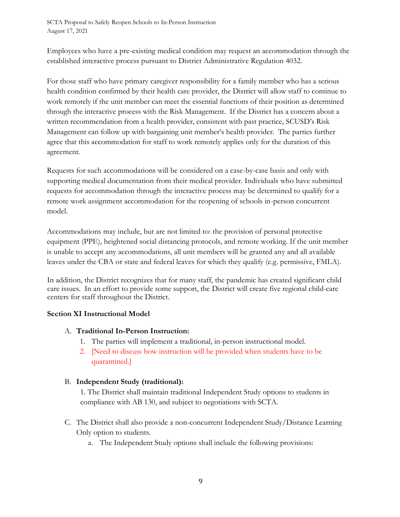Employees who have a pre-existing medical condition may request an accommodation through the established interactive process pursuant to District Administrative Regulation 4032.

For those staff who have primary caregiver responsibility for a family member who has a serious health condition confirmed by their health care provider, the District will allow staff to continue to work remotely if the unit member can meet the essential functions of their position as determined through the interactive process with the Risk Management. If the District has a concern about a written recommendation from a health provider, consistent with past practice, SCUSD's Risk Management can follow up with bargaining unit member's health provider. The parties further agree that this accommodation for staff to work remotely applies only for the duration of this agreement.

Requests for such accommodations will be considered on a case-by-case basis and only with supporting medical documentation from their medical provider. Individuals who have submitted requests for accommodation through the interactive process may be determined to qualify for a remote work assignment accommodation for the reopening of schools in-person concurrent model.

Accommodations may include, but are not limited to: the provision of personal protective equipment (PPE), heightened social distancing protocols, and remote working. If the unit member is unable to accept any accommodations, all unit members will be granted any and all available leaves under the CBA or state and federal leaves for which they qualify (e.g. permissive, FMLA).

In addition, the District recognizes that for many staff, the pandemic has created significant child care issues. In an effort to provide some support, the District will create five regional child-care centers for staff throughout the District.

## **Section XI Instructional Model**

#### A. **Traditional In-Person Instruction:**

- 1. The parties will implement a traditional, in-person instructional model.
- 2. [Need to discuss how instruction will be provided when students have to be quarantined.]

## B. **Independent Study (traditional):**

1. The District shall maintain traditional Independent Study options to students in compliance with AB 130, and subject to negotiations with SCTA.

- C. The District shall also provide a non-concurrent Independent Study/Distance Learning Only option to students.
	- a. The Independent Study options shall include the following provisions: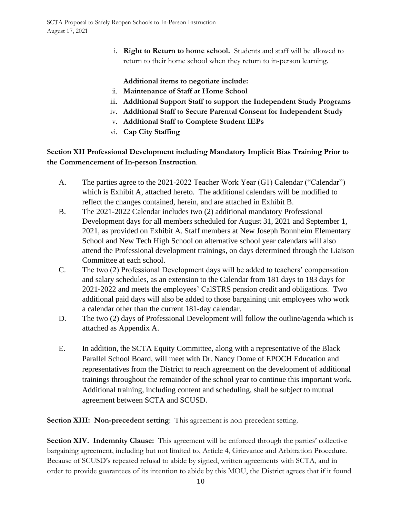i. **Right to Return to home school.** Students and staff will be allowed to return to their home school when they return to in-person learning.

**Additional items to negotiate include:** 

- ii. **Maintenance of Staff at Home School**
- iii. **Additional Support Staff to support the Independent Study Programs**
- iv. **Additional Staff to Secure Parental Consent for Independent Study**
- v. **Additional Staff to Complete Student IEPs**
- vi. **Cap City Staffing**

**Section XII Professional Development including Mandatory Implicit Bias Training Prior to the Commencement of In-person Instruction**.

- A. The parties agree to the 2021-2022 Teacher Work Year (G1) Calendar ("Calendar") which is Exhibit A, attached hereto. The additional calendars will be modified to reflect the changes contained, herein, and are attached in Exhibit B.
- B. The 2021-2022 Calendar includes two (2) additional mandatory Professional Development days for all members scheduled for August 31, 2021 and September 1, 2021, as provided on Exhibit A. Staff members at New Joseph Bonnheim Elementary School and New Tech High School on alternative school year calendars will also attend the Professional development trainings, on days determined through the Liaison Committee at each school.
- C. The two (2) Professional Development days will be added to teachers' compensation and salary schedules, as an extension to the Calendar from 181 days to 183 days for 2021-2022 and meets the employees' CalSTRS pension credit and obligations. Two additional paid days will also be added to those bargaining unit employees who work a calendar other than the current 181-day calendar.
- D. The two (2) days of Professional Development will follow the outline/agenda which is attached as Appendix A.
- E. In addition, the SCTA Equity Committee, along with a representative of the Black Parallel School Board, will meet with Dr. Nancy Dome of EPOCH Education and representatives from the District to reach agreement on the development of additional trainings throughout the remainder of the school year to continue this important work. Additional training, including content and scheduling, shall be subject to mutual agreement between SCTA and SCUSD.

**Section XIII: Non-precedent setting**: This agreement is non-precedent setting.

**Section XIV. Indemnity Clause:** This agreement will be enforced through the parties' collective bargaining agreement, including but not limited to, Article 4, Grievance and Arbitration Procedure. Because of SCUSD's repeated refusal to abide by signed, written agreements with SCTA, and in order to provide guarantees of its intention to abide by this MOU, the District agrees that if it found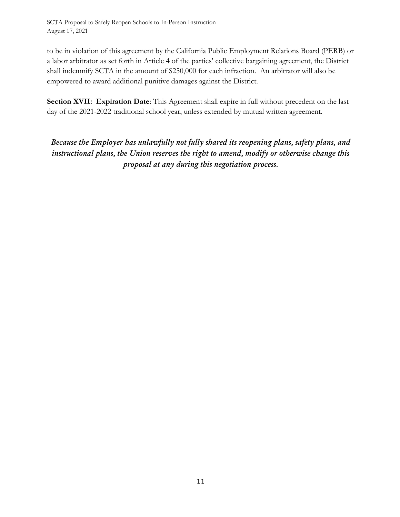to be in violation of this agreement by the California Public Employment Relations Board (PERB) or a labor arbitrator as set forth in Article 4 of the parties' collective bargaining agreement, the District shall indemnify SCTA in the amount of \$250,000 for each infraction. An arbitrator will also be empowered to award additional punitive damages against the District.

**Section XVII: Expiration Date**: This Agreement shall expire in full without precedent on the last day of the 2021-2022 traditional school year, unless extended by mutual written agreement.

*Because the Employer has unlawfully not fully shared its reopening plans, safety plans, and instructional plans, the Union reserves the right to amend, modify or otherwise change this proposal at any during this negotiation process.*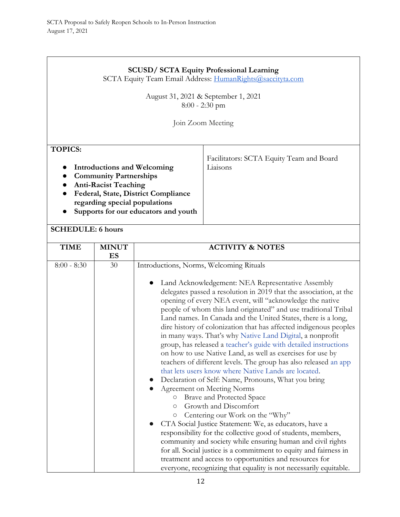# **SCUSD/ SCTA Equity Professional Learning**

SCTA Equity Team Email Address: [HumanRights@saccityta.com](mailto:HumanRights@saccityta.com)

August 31, 2021 & September 1, 2021 8:00 - 2:30 pm

Join Zoom Meeting

Liaisons

Facilitators: SCTA Equity Team and Board

# **TOPICS:**

- **Introductions and Welcoming**
- **Community Partnerships**
- **Anti-Racist Teaching**
- **Federal, State, District Compliance regarding special populations**
- **Supports for our educators and youth**

## **SCHEDULE: 6 hours**

| <b>TIME</b>   | <b>MINUT</b> | <b>ACTIVITY &amp; NOTES</b>                                        |
|---------------|--------------|--------------------------------------------------------------------|
|               | ES           |                                                                    |
| $8:00 - 8:30$ | 30           | Introductions, Norms, Welcoming Rituals                            |
|               |              |                                                                    |
|               |              | Land Acknowledgement: NEA Representative Assembly                  |
|               |              | delegates passed a resolution in 2019 that the association, at the |
|               |              | opening of every NEA event, will "acknowledge the native           |
|               |              | people of whom this land originated" and use traditional Tribal    |
|               |              | Land names. In Canada and the United States, there is a long,      |
|               |              | dire history of colonization that has affected indigenous peoples  |
|               |              | in many ways. That's why Native Land Digital, a nonprofit          |
|               |              | group, has released a teacher's guide with detailed instructions   |
|               |              | on how to use Native Land, as well as exercises for use by         |
|               |              | teachers of different levels. The group has also released an app   |
|               |              | that lets users know where Native Lands are located.               |
|               |              | Declaration of Self: Name, Pronouns, What you bring                |
|               |              | Agreement on Meeting Norms                                         |
|               |              | Brave and Protected Space<br>$\circ$                               |
|               |              | Growth and Discomfort<br>$\circ$                                   |
|               |              | Centering our Work on the "Why"<br>$\bigcirc$                      |
|               |              | CTA Social Justice Statement: We, as educators, have a             |
|               |              | responsibility for the collective good of students, members,       |
|               |              | community and society while ensuring human and civil rights        |
|               |              | for all. Social justice is a commitment to equity and fairness in  |
|               |              | treatment and access to opportunities and resources for            |
|               |              | everyone, recognizing that equality is not necessarily equitable.  |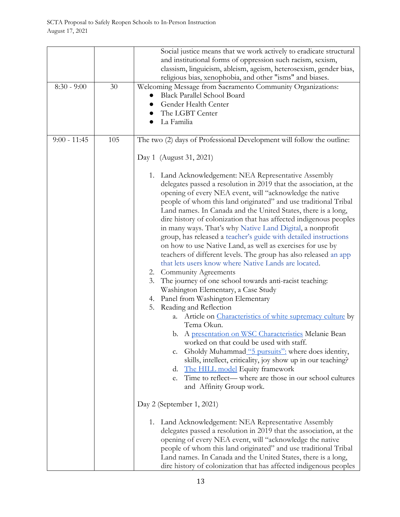| and institutional forms of oppression such racism, sexism,<br>classism, linguicism, ableism, ageism, heterosexism, gender bias,<br>religious bias, xenophobia, and other "isms" and biases.<br>Welcoming Message from Sacramento Community Organizations:<br>$8:30 - 9:00$<br>30<br><b>Black Parallel School Board</b><br>Gender Health Center<br>The LGBT Center<br>La Familia<br>105<br>The two (2) days of Professional Development will follow the outline:<br>$9:00 - 11:45$<br>Day 1 (August 31, 2021)<br>1. Land Acknowledgement: NEA Representative Assembly<br>delegates passed a resolution in 2019 that the association, at the<br>opening of every NEA event, will "acknowledge the native |
|--------------------------------------------------------------------------------------------------------------------------------------------------------------------------------------------------------------------------------------------------------------------------------------------------------------------------------------------------------------------------------------------------------------------------------------------------------------------------------------------------------------------------------------------------------------------------------------------------------------------------------------------------------------------------------------------------------|
|                                                                                                                                                                                                                                                                                                                                                                                                                                                                                                                                                                                                                                                                                                        |
|                                                                                                                                                                                                                                                                                                                                                                                                                                                                                                                                                                                                                                                                                                        |
|                                                                                                                                                                                                                                                                                                                                                                                                                                                                                                                                                                                                                                                                                                        |
|                                                                                                                                                                                                                                                                                                                                                                                                                                                                                                                                                                                                                                                                                                        |
|                                                                                                                                                                                                                                                                                                                                                                                                                                                                                                                                                                                                                                                                                                        |
|                                                                                                                                                                                                                                                                                                                                                                                                                                                                                                                                                                                                                                                                                                        |
|                                                                                                                                                                                                                                                                                                                                                                                                                                                                                                                                                                                                                                                                                                        |
|                                                                                                                                                                                                                                                                                                                                                                                                                                                                                                                                                                                                                                                                                                        |
|                                                                                                                                                                                                                                                                                                                                                                                                                                                                                                                                                                                                                                                                                                        |
|                                                                                                                                                                                                                                                                                                                                                                                                                                                                                                                                                                                                                                                                                                        |
|                                                                                                                                                                                                                                                                                                                                                                                                                                                                                                                                                                                                                                                                                                        |
|                                                                                                                                                                                                                                                                                                                                                                                                                                                                                                                                                                                                                                                                                                        |
|                                                                                                                                                                                                                                                                                                                                                                                                                                                                                                                                                                                                                                                                                                        |
|                                                                                                                                                                                                                                                                                                                                                                                                                                                                                                                                                                                                                                                                                                        |
|                                                                                                                                                                                                                                                                                                                                                                                                                                                                                                                                                                                                                                                                                                        |
| people of whom this land originated" and use traditional Tribal                                                                                                                                                                                                                                                                                                                                                                                                                                                                                                                                                                                                                                        |
| Land names. In Canada and the United States, there is a long,                                                                                                                                                                                                                                                                                                                                                                                                                                                                                                                                                                                                                                          |
| dire history of colonization that has affected indigenous peoples                                                                                                                                                                                                                                                                                                                                                                                                                                                                                                                                                                                                                                      |
| in many ways. That's why Native Land Digital, a nonprofit                                                                                                                                                                                                                                                                                                                                                                                                                                                                                                                                                                                                                                              |
| group, has released a teacher's guide with detailed instructions                                                                                                                                                                                                                                                                                                                                                                                                                                                                                                                                                                                                                                       |
| on how to use Native Land, as well as exercises for use by                                                                                                                                                                                                                                                                                                                                                                                                                                                                                                                                                                                                                                             |
| teachers of different levels. The group has also released an app                                                                                                                                                                                                                                                                                                                                                                                                                                                                                                                                                                                                                                       |
| that lets users know where Native Lands are located.                                                                                                                                                                                                                                                                                                                                                                                                                                                                                                                                                                                                                                                   |
| 2. Community Agreements                                                                                                                                                                                                                                                                                                                                                                                                                                                                                                                                                                                                                                                                                |
| 3. The journey of one school towards anti-racist teaching:                                                                                                                                                                                                                                                                                                                                                                                                                                                                                                                                                                                                                                             |
| Washington Elementary, a Case Study                                                                                                                                                                                                                                                                                                                                                                                                                                                                                                                                                                                                                                                                    |
| 4. Panel from Washington Elementary                                                                                                                                                                                                                                                                                                                                                                                                                                                                                                                                                                                                                                                                    |
| Reading and Reflection<br>5.                                                                                                                                                                                                                                                                                                                                                                                                                                                                                                                                                                                                                                                                           |
| Article on <i>Characteristics</i> of white supremacy culture by<br>a.                                                                                                                                                                                                                                                                                                                                                                                                                                                                                                                                                                                                                                  |
| Tema Okun.                                                                                                                                                                                                                                                                                                                                                                                                                                                                                                                                                                                                                                                                                             |
| b. A presentation on WSC Characteristics Melanie Bean                                                                                                                                                                                                                                                                                                                                                                                                                                                                                                                                                                                                                                                  |
| worked on that could be used with staff.                                                                                                                                                                                                                                                                                                                                                                                                                                                                                                                                                                                                                                                               |
| Gholdy Muhammad "5 pursuits": where does identity,<br>c.                                                                                                                                                                                                                                                                                                                                                                                                                                                                                                                                                                                                                                               |
| skills, intellect, criticality, joy show up in our teaching?                                                                                                                                                                                                                                                                                                                                                                                                                                                                                                                                                                                                                                           |
| The HILL model Equity framework<br>d.                                                                                                                                                                                                                                                                                                                                                                                                                                                                                                                                                                                                                                                                  |
| Time to reflect— where are those in our school cultures<br>e.                                                                                                                                                                                                                                                                                                                                                                                                                                                                                                                                                                                                                                          |
| and Affinity Group work.                                                                                                                                                                                                                                                                                                                                                                                                                                                                                                                                                                                                                                                                               |
|                                                                                                                                                                                                                                                                                                                                                                                                                                                                                                                                                                                                                                                                                                        |
| Day 2 (September 1, 2021)                                                                                                                                                                                                                                                                                                                                                                                                                                                                                                                                                                                                                                                                              |
| 1. Land Acknowledgement: NEA Representative Assembly                                                                                                                                                                                                                                                                                                                                                                                                                                                                                                                                                                                                                                                   |
| delegates passed a resolution in 2019 that the association, at the                                                                                                                                                                                                                                                                                                                                                                                                                                                                                                                                                                                                                                     |
| opening of every NEA event, will "acknowledge the native                                                                                                                                                                                                                                                                                                                                                                                                                                                                                                                                                                                                                                               |
| people of whom this land originated" and use traditional Tribal                                                                                                                                                                                                                                                                                                                                                                                                                                                                                                                                                                                                                                        |
| Land names. In Canada and the United States, there is a long,                                                                                                                                                                                                                                                                                                                                                                                                                                                                                                                                                                                                                                          |
| dire history of colonization that has affected indigenous peoples                                                                                                                                                                                                                                                                                                                                                                                                                                                                                                                                                                                                                                      |